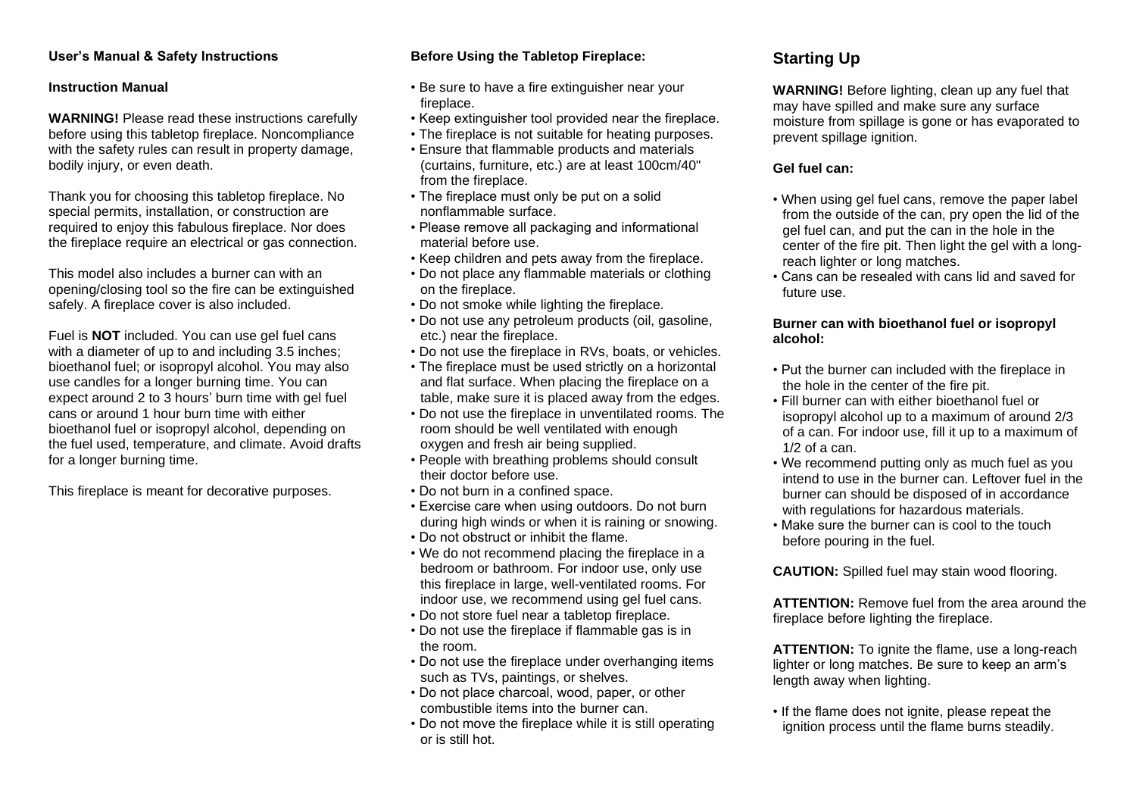#### **User's Manual & Safety Instructions**

#### **Instruction Manual**

**WARNING!** Please read these instructions carefully before using this tabletop fireplace. Noncompliance with the safety rules can result in property damage, bodily injury, or even death.

Thank you for choosing this tabletop fireplace. No special permits, installation, or construction are required to enjoy this fabulous fireplace. Nor does the fireplace require an electrical or gas connection.

This model also includes a burner can with an opening/closing tool so the fire can be extinguished safely. A fireplace cover is also included.

Fuel is **NOT** included. You can use gel fuel cans with a diameter of up to and including 3.5 inches; bioethanol fuel; or isopropyl alcohol. You may also use candles for a longer burning time. You can expect around 2 to 3 hours' burn time with gel fuel cans or around 1 hour burn time with either bioethanol fuel or isopropyl alcohol, depending on the fuel used, temperature, and climate. Avoid drafts for a longer burning time.

This fireplace is meant for decorative purposes.

### **Before Using the Tabletop Fireplace:**

- Be sure to have a fire extinguisher near your fireplace.
- Keep extinguisher tool provided near the fireplace.
- The fireplace is not suitable for heating purposes.
- Ensure that flammable products and materials (curtains, furniture, etc.) are at least 100cm/40" from the fireplace.
- The fireplace must only be put on a solid nonflammable surface.
- Please remove all packaging and informational material before use.
- Keep children and pets away from the fireplace.
- Do not place any flammable materials or clothing on the fireplace.
- Do not smoke while lighting the fireplace.
- Do not use any petroleum products (oil, gasoline, etc.) near the fireplace.
- Do not use the fireplace in RVs, boats, or vehicles.
- The fireplace must be used strictly on a horizontal and flat surface. When placing the fireplace on a table, make sure it is placed away from the edges.
- Do not use the fireplace in unventilated rooms. The room should be well ventilated with enough oxygen and fresh air being supplied.
- People with breathing problems should consult their doctor before use.
- Do not burn in a confined space.
- Exercise care when using outdoors. Do not burn during high winds or when it is raining or snowing.
- Do not obstruct or inhibit the flame.
- We do not recommend placing the fireplace in a bedroom or bathroom. For indoor use, only use this fireplace in large, well-ventilated rooms. For indoor use, we recommend using gel fuel cans.
- Do not store fuel near a tabletop fireplace.
- Do not use the fireplace if flammable gas is in the room.
- Do not use the fireplace under overhanging items such as TVs, paintings, or shelves.
- Do not place charcoal, wood, paper, or other combustible items into the burner can.
- Do not move the fireplace while it is still operating or is still hot.

# **Starting Up**

**WARNING!** Before lighting, clean up any fuel that may have spilled and make sure any surface moisture from spillage is gone or has evaporated to prevent spillage ignition.

### **Gel fuel can:**

- When using gel fuel cans, remove the paper label from the outside of the can, pry open the lid of the gel fuel can, and put the can in the hole in the center of the fire pit. Then light the gel with a longreach lighter or long matches.
- Cans can be resealed with cans lid and saved for future use.

#### **Burner can with bioethanol fuel or isopropyl alcohol:**

- Put the burner can included with the fireplace in the hole in the center of the fire pit.
- Fill burner can with either bioethanol fuel or isopropyl alcohol up to a maximum of around 2/3 of a can. For indoor use, fill it up to a maximum of  $1/2$  of a can.
- We recommend putting only as much fuel as you intend to use in the burner can. Leftover fuel in the burner can should be disposed of in accordance with regulations for hazardous materials.
- Make sure the burner can is cool to the touch before pouring in the fuel.

**CAUTION:** Spilled fuel may stain wood flooring.

**ATTENTION:** Remove fuel from the area around the fireplace before lighting the fireplace.

**ATTENTION:** To ignite the flame, use a long-reach lighter or long matches. Be sure to keep an arm's length away when lighting.

• If the flame does not ignite, please repeat the ignition process until the flame burns steadily.